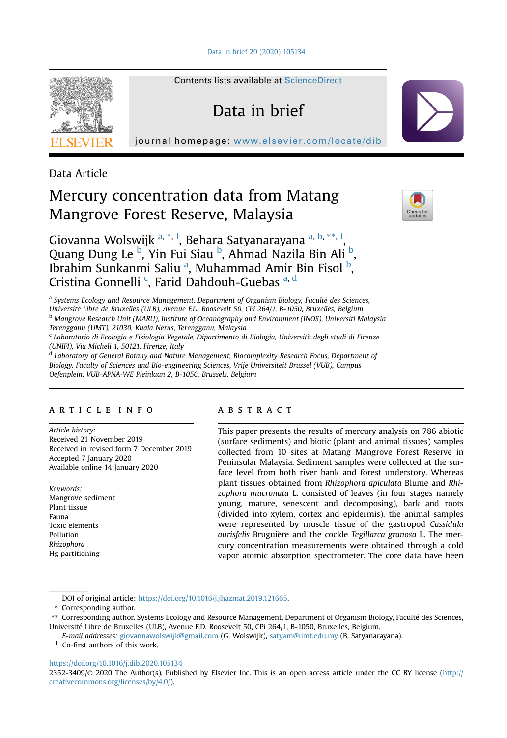[Data in brief 29 \(2020\) 105134](https://doi.org/10.1016/j.dib.2020.105134)



Contents lists available at [ScienceDirect](www.sciencedirect.com/science/journal/23523409)

# Data in brief

journal homepage: <www.elsevier.com/locate/dib>

Data Article

# Mercury concentration data from Matang Mangrove Forest Reserve, Malaysia



Giov[a](#page-0-0)nna Wolswijk <sup>a, \*, [1](#page-0-1)</sup>, Behara Satyanarayana <sup>a, [b,](#page-0-2) \*\*, 1</sup> , Quang Dung Le <sup>[b](#page-0-2)</sup>, Yin Fui Siau <sup>b</sup>, Ahmad Nazila Bin Ali <sup>b</sup>, Ibr[a](#page-0-0)him Sunkanmi Saliu <sup>a</sup>, Muhammad Amir Bin Fisol <sup>[b](#page-0-2)</sup>, Cristina Gonnelli<sup>[c](#page-0-3)</sup>, Farid Dahdouh-Guebas [a,](#page-0-0) [d](#page-0-4)

<span id="page-0-0"></span><sup>a</sup> Systems Ecology and Resource Management, Department of Organism Biology, Faculté des Sciences, Universite Libre de Bruxelles (ULB), Avenue F.D. Roosevelt 50, CPi 264/1, B-1050, Bruxelles, Belgium <sup>b</sup> Mangrove Research Unit (MARU), Institute of Oceanography and Environment (INOS), Universiti Malaysia Terengganu (UMT), 21030, Kuala Nerus, Terengganu, Malaysia

<span id="page-0-3"></span><span id="page-0-2"></span><sup>c</sup> Laboratorio di Ecologia e Fisiologia Vegetale, Dipartimento di Biologia, Universita degli studi di Firenze (UNIFI), Via Micheli 1, 50121, Firenze, Italy

<span id="page-0-4"></span>d Laboratory of General Botany and Nature Management, Biocomplexity Research Focus, Department of Biology, Faculty of Sciences and Bio-engineering Sciences, Vrije Universiteit Brussel (VUB), Campus Oefenplein, VUB-APNA-WE Pleinlaan 2, B-1050, Brussels, Belgium

## article info

Article history: Received 21 November 2019 Received in revised form 7 December 2019 Accepted 7 January 2020 Available online 14 January 2020

Keywords: Mangrove sediment Plant tissue Fauna Toxic elements Pollution Rhizophora Hg partitioning

## **ABSTRACT**

This paper presents the results of mercury analysis on 786 abiotic (surface sediments) and biotic (plant and animal tissues) samples collected from 10 sites at Matang Mangrove Forest Reserve in Peninsular Malaysia. Sediment samples were collected at the surface level from both river bank and forest understory. Whereas plant tissues obtained from Rhizophora apiculata Blume and Rhizophora mucronata L. consisted of leaves (in four stages namely young, mature, senescent and decomposing), bark and roots (divided into xylem, cortex and epidermis), the animal samples were represented by muscle tissue of the gastropod Cassidula aurisfelis Bruguière and the cockle Tegillarca granosa L. The mercury concentration measurements were obtained through a cold vapor atomic absorption spectrometer. The core data have been

DOI of original article: <https://doi.org/10.1016/j.jhazmat.2019.121665>.

\* Corresponding author.

\*\* Corresponding author. Systems Ecology and Resource Management, Department of Organism Biology, Faculte des Sciences, Universite Libre de Bruxelles (ULB), Avenue F.D. Roosevelt 50, CPi 264/1, B-1050, Bruxelles, Belgium.

E-mail addresses: [giovannawolswijk@gmail.com](mailto:giovannawolswijk@gmail.com) (G. Wolswijk), [satyam@umt.edu.my](mailto:satyam@umt.edu.my) (B. Satyanarayana).

<span id="page-0-1"></span>Co-first authors of this work.

#### <https://doi.org/10.1016/j.dib.2020.105134>

2352-3409/© 2020 The Author(s). Published by Elsevier Inc. This is an open access article under the CC BY license ([http://](http://creativecommons.org/licenses/by/4.0/) [creativecommons.org/licenses/by/4.0/](http://creativecommons.org/licenses/by/4.0/)).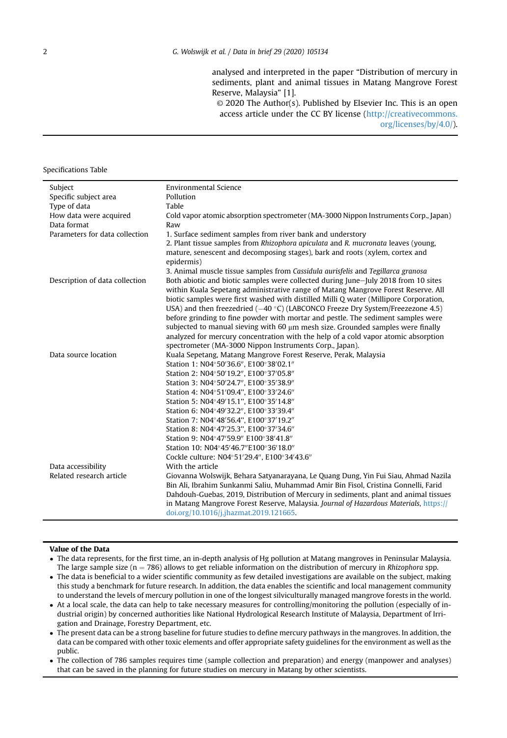analysed and interpreted in the paper "Distribution of mercury in sediments, plant and animal tissues in Matang Mangrove Forest Reserve, Malaysia" [1].

© 2020 The Author(s). Published by Elsevier Inc. This is an open access article under the CC BY license [\(http://creativecommons.](http://creativecommons.org/licenses/by/4.0/) [org/licenses/by/4.0/\)](http://creativecommons.org/licenses/by/4.0/).

#### Specifications Table

| Specific subject area<br>Pollution<br>Type of data<br>Table<br>How data were acquired<br>Cold vapor atomic absorption spectrometer (MA-3000 Nippon Instruments Corp., Japan)<br>Data format<br>Raw<br>Parameters for data collection<br>1. Surface sediment samples from river bank and understory<br>2. Plant tissue samples from Rhizophora apiculata and R. mucronata leaves (young,<br>mature, senescent and decomposing stages), bark and roots (xylem, cortex and<br>epidermis)<br>3. Animal muscle tissue samples from Cassidula aurisfelis and Tegillarca granosa<br>Both abiotic and biotic samples were collected during June-July 2018 from 10 sites<br>Description of data collection<br>within Kuala Sepetang administrative range of Matang Mangrove Forest Reserve. All<br>biotic samples were first washed with distilled Milli Q water (Millipore Corporation,<br>USA) and then freezedried ( $-40$ °C) (LABCONCO Freeze Dry System/Freezezone 4.5)<br>before grinding to fine powder with mortar and pestle. The sediment samples were<br>subjected to manual sieving with 60 um mesh size. Grounded samples were finally<br>analyzed for mercury concentration with the help of a cold vapor atomic absorption<br>spectrometer (MA-3000 Nippon Instruments Corp., Japan).<br>Data source location<br>Kuala Sepetang, Matang Mangrove Forest Reserve, Perak, Malaysia<br>Station 1: N04°50'36.6", E100°38'02.1"<br>Station 2: N04°50'19.2", E100°37'05.8"<br>Station 3: N04°50'24.7", E100°35'38.9"<br>Station 4: N04°51'09.4", E100°33'24.6"<br>Station 5: N04°49'15.1", E100°35'14.8"<br>Station 6: N04°49'32.2", E100°33'39.4"<br>Station 7: N04°48'56.4", E100°37'19.2"<br>Station 8: N04°47'25.3", E100°37'34.6"<br>Station 9: N04°47'59.9" E100°38'41.8" |
|----------------------------------------------------------------------------------------------------------------------------------------------------------------------------------------------------------------------------------------------------------------------------------------------------------------------------------------------------------------------------------------------------------------------------------------------------------------------------------------------------------------------------------------------------------------------------------------------------------------------------------------------------------------------------------------------------------------------------------------------------------------------------------------------------------------------------------------------------------------------------------------------------------------------------------------------------------------------------------------------------------------------------------------------------------------------------------------------------------------------------------------------------------------------------------------------------------------------------------------------------------------------------------------------------------------------------------------------------------------------------------------------------------------------------------------------------------------------------------------------------------------------------------------------------------------------------------------------------------------------------------------------------------------------------------------------------------------------------------------------------------------------------------|
|                                                                                                                                                                                                                                                                                                                                                                                                                                                                                                                                                                                                                                                                                                                                                                                                                                                                                                                                                                                                                                                                                                                                                                                                                                                                                                                                                                                                                                                                                                                                                                                                                                                                                                                                                                                  |
|                                                                                                                                                                                                                                                                                                                                                                                                                                                                                                                                                                                                                                                                                                                                                                                                                                                                                                                                                                                                                                                                                                                                                                                                                                                                                                                                                                                                                                                                                                                                                                                                                                                                                                                                                                                  |
|                                                                                                                                                                                                                                                                                                                                                                                                                                                                                                                                                                                                                                                                                                                                                                                                                                                                                                                                                                                                                                                                                                                                                                                                                                                                                                                                                                                                                                                                                                                                                                                                                                                                                                                                                                                  |
|                                                                                                                                                                                                                                                                                                                                                                                                                                                                                                                                                                                                                                                                                                                                                                                                                                                                                                                                                                                                                                                                                                                                                                                                                                                                                                                                                                                                                                                                                                                                                                                                                                                                                                                                                                                  |
|                                                                                                                                                                                                                                                                                                                                                                                                                                                                                                                                                                                                                                                                                                                                                                                                                                                                                                                                                                                                                                                                                                                                                                                                                                                                                                                                                                                                                                                                                                                                                                                                                                                                                                                                                                                  |
|                                                                                                                                                                                                                                                                                                                                                                                                                                                                                                                                                                                                                                                                                                                                                                                                                                                                                                                                                                                                                                                                                                                                                                                                                                                                                                                                                                                                                                                                                                                                                                                                                                                                                                                                                                                  |
|                                                                                                                                                                                                                                                                                                                                                                                                                                                                                                                                                                                                                                                                                                                                                                                                                                                                                                                                                                                                                                                                                                                                                                                                                                                                                                                                                                                                                                                                                                                                                                                                                                                                                                                                                                                  |
|                                                                                                                                                                                                                                                                                                                                                                                                                                                                                                                                                                                                                                                                                                                                                                                                                                                                                                                                                                                                                                                                                                                                                                                                                                                                                                                                                                                                                                                                                                                                                                                                                                                                                                                                                                                  |
|                                                                                                                                                                                                                                                                                                                                                                                                                                                                                                                                                                                                                                                                                                                                                                                                                                                                                                                                                                                                                                                                                                                                                                                                                                                                                                                                                                                                                                                                                                                                                                                                                                                                                                                                                                                  |
|                                                                                                                                                                                                                                                                                                                                                                                                                                                                                                                                                                                                                                                                                                                                                                                                                                                                                                                                                                                                                                                                                                                                                                                                                                                                                                                                                                                                                                                                                                                                                                                                                                                                                                                                                                                  |
|                                                                                                                                                                                                                                                                                                                                                                                                                                                                                                                                                                                                                                                                                                                                                                                                                                                                                                                                                                                                                                                                                                                                                                                                                                                                                                                                                                                                                                                                                                                                                                                                                                                                                                                                                                                  |
|                                                                                                                                                                                                                                                                                                                                                                                                                                                                                                                                                                                                                                                                                                                                                                                                                                                                                                                                                                                                                                                                                                                                                                                                                                                                                                                                                                                                                                                                                                                                                                                                                                                                                                                                                                                  |
|                                                                                                                                                                                                                                                                                                                                                                                                                                                                                                                                                                                                                                                                                                                                                                                                                                                                                                                                                                                                                                                                                                                                                                                                                                                                                                                                                                                                                                                                                                                                                                                                                                                                                                                                                                                  |
|                                                                                                                                                                                                                                                                                                                                                                                                                                                                                                                                                                                                                                                                                                                                                                                                                                                                                                                                                                                                                                                                                                                                                                                                                                                                                                                                                                                                                                                                                                                                                                                                                                                                                                                                                                                  |
|                                                                                                                                                                                                                                                                                                                                                                                                                                                                                                                                                                                                                                                                                                                                                                                                                                                                                                                                                                                                                                                                                                                                                                                                                                                                                                                                                                                                                                                                                                                                                                                                                                                                                                                                                                                  |
|                                                                                                                                                                                                                                                                                                                                                                                                                                                                                                                                                                                                                                                                                                                                                                                                                                                                                                                                                                                                                                                                                                                                                                                                                                                                                                                                                                                                                                                                                                                                                                                                                                                                                                                                                                                  |
|                                                                                                                                                                                                                                                                                                                                                                                                                                                                                                                                                                                                                                                                                                                                                                                                                                                                                                                                                                                                                                                                                                                                                                                                                                                                                                                                                                                                                                                                                                                                                                                                                                                                                                                                                                                  |
|                                                                                                                                                                                                                                                                                                                                                                                                                                                                                                                                                                                                                                                                                                                                                                                                                                                                                                                                                                                                                                                                                                                                                                                                                                                                                                                                                                                                                                                                                                                                                                                                                                                                                                                                                                                  |
|                                                                                                                                                                                                                                                                                                                                                                                                                                                                                                                                                                                                                                                                                                                                                                                                                                                                                                                                                                                                                                                                                                                                                                                                                                                                                                                                                                                                                                                                                                                                                                                                                                                                                                                                                                                  |
| Station 10: N04°45'46.7"E100°36'18.0"                                                                                                                                                                                                                                                                                                                                                                                                                                                                                                                                                                                                                                                                                                                                                                                                                                                                                                                                                                                                                                                                                                                                                                                                                                                                                                                                                                                                                                                                                                                                                                                                                                                                                                                                            |
| Cockle culture: N04°51'29.4", E100°34'43.6"                                                                                                                                                                                                                                                                                                                                                                                                                                                                                                                                                                                                                                                                                                                                                                                                                                                                                                                                                                                                                                                                                                                                                                                                                                                                                                                                                                                                                                                                                                                                                                                                                                                                                                                                      |
| Data accessibility<br>With the article                                                                                                                                                                                                                                                                                                                                                                                                                                                                                                                                                                                                                                                                                                                                                                                                                                                                                                                                                                                                                                                                                                                                                                                                                                                                                                                                                                                                                                                                                                                                                                                                                                                                                                                                           |
| Related research article<br>Giovanna Wolswijk, Behara Satyanarayana, Le Quang Dung, Yin Fui Siau, Ahmad Nazila                                                                                                                                                                                                                                                                                                                                                                                                                                                                                                                                                                                                                                                                                                                                                                                                                                                                                                                                                                                                                                                                                                                                                                                                                                                                                                                                                                                                                                                                                                                                                                                                                                                                   |
| Bin Ali, Ibrahim Sunkanmi Saliu, Muhammad Amir Bin Fisol, Cristina Gonnelli, Farid                                                                                                                                                                                                                                                                                                                                                                                                                                                                                                                                                                                                                                                                                                                                                                                                                                                                                                                                                                                                                                                                                                                                                                                                                                                                                                                                                                                                                                                                                                                                                                                                                                                                                               |
| Dahdouh-Guebas, 2019, Distribution of Mercury in sediments, plant and animal tissues                                                                                                                                                                                                                                                                                                                                                                                                                                                                                                                                                                                                                                                                                                                                                                                                                                                                                                                                                                                                                                                                                                                                                                                                                                                                                                                                                                                                                                                                                                                                                                                                                                                                                             |
| in Matang Mangrove Forest Reserve, Malaysia. Journal of Hazardous Materials, https://<br>doi.org/10.1016/j.jhazmat.2019.121665.                                                                                                                                                                                                                                                                                                                                                                                                                                                                                                                                                                                                                                                                                                                                                                                                                                                                                                                                                                                                                                                                                                                                                                                                                                                                                                                                                                                                                                                                                                                                                                                                                                                  |

#### Value of the Data

- The data represents, for the first time, an in-depth analysis of Hg pollution at Matang mangroves in Peninsular Malaysia. The large sample size ( $n = 786$ ) allows to get reliable information on the distribution of mercury in Rhizophora spp.
- The data is beneficial to a wider scientific community as few detailed investigations are available on the subject, making this study a benchmark for future research. In addition, the data enables the scientific and local management community to understand the levels of mercury pollution in one of the longest silviculturally managed mangrove forests in the world.
- At a local scale, the data can help to take necessary measures for controlling/monitoring the pollution (especially of industrial origin) by concerned authorities like National Hydrological Research Institute of Malaysia, Department of Irrigation and Drainage, Forestry Department, etc.
- The present data can be a strong baseline for future studies to define mercury pathways in the mangroves. In addition, the data can be compared with other toxic elements and offer appropriate safety guidelines for the environment as well as the public.
- The collection of 786 samples requires time (sample collection and preparation) and energy (manpower and analyses) that can be saved in the planning for future studies on mercury in Matang by other scientists.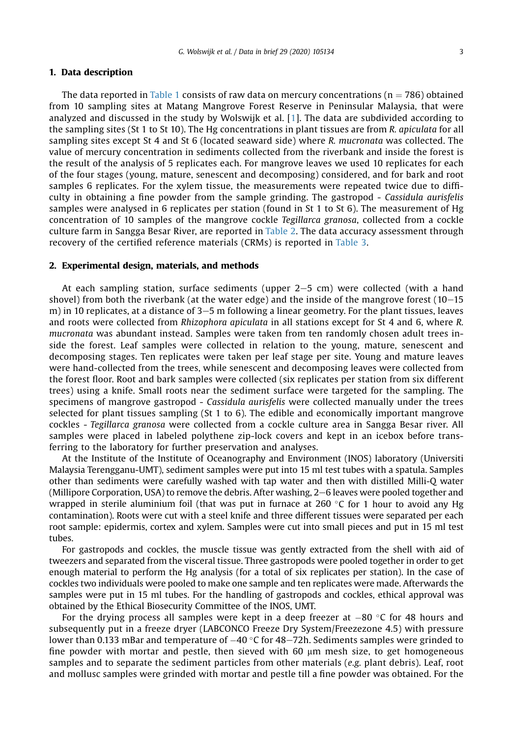## 1. Data description

The data reported in [Table 1](#page-3-0) consists of raw data on mercury concentrations ( $n = 786$ ) obtained from 10 sampling sites at Matang Mangrove Forest Reserve in Peninsular Malaysia, that were analyzed and discussed in the study by Wolswijk et al. [\[1](#page-6-0)]. The data are subdivided according to the sampling sites (St 1 to St 10). The Hg concentrations in plant tissues are from R. apiculata for all sampling sites except St 4 and St 6 (located seaward side) where R. mucronata was collected. The value of mercury concentration in sediments collected from the riverbank and inside the forest is the result of the analysis of 5 replicates each. For mangrove leaves we used 10 replicates for each of the four stages (young, mature, senescent and decomposing) considered, and for bark and root samples 6 replicates. For the xylem tissue, the measurements were repeated twice due to difficulty in obtaining a fine powder from the sample grinding. The gastropod - Cassidula aurisfelis samples were analysed in 6 replicates per station (found in St 1 to St 6). The measurement of Hg concentration of 10 samples of the mangrove cockle Tegillarca granosa, collected from a cockle culture farm in Sangga Besar River, are reported in [Table 2](#page-5-0). The data accuracy assessment through recovery of the certified reference materials (CRMs) is reported in [Table 3](#page-6-1).

#### 2. Experimental design, materials, and methods

At each sampling station, surface sediments (upper  $2-5$  cm) were collected (with a hand shovel) from both the riverbank (at the water edge) and the inside of the mangrove forest  $(10-15$ m) in 10 replicates, at a distance of  $3-5$  m following a linear geometry. For the plant tissues, leaves and roots were collected from Rhizophora apiculata in all stations except for St 4 and 6, where R. mucronata was abundant instead. Samples were taken from ten randomly chosen adult trees inside the forest. Leaf samples were collected in relation to the young, mature, senescent and decomposing stages. Ten replicates were taken per leaf stage per site. Young and mature leaves were hand-collected from the trees, while senescent and decomposing leaves were collected from the forest floor. Root and bark samples were collected (six replicates per station from six different trees) using a knife. Small roots near the sediment surface were targeted for the sampling. The specimens of mangrove gastropod - Cassidula aurisfelis were collected manually under the trees selected for plant tissues sampling (St 1 to 6). The edible and economically important mangrove cockles - Tegillarca granosa were collected from a cockle culture area in Sangga Besar river. All samples were placed in labeled polythene zip-lock covers and kept in an icebox before transferring to the laboratory for further preservation and analyses.

At the Institute of the Institute of Oceanography and Environment (INOS) laboratory (Universiti Malaysia Terengganu-UMT), sediment samples were put into 15 ml test tubes with a spatula. Samples other than sediments were carefully washed with tap water and then with distilled Milli-Q water (Millipore Corporation, USA) to remove the debris. After washing, 2–6 leaves were pooled together and wrapped in sterile aluminium foil (that was put in furnace at 260  $\degree$ C for 1 hour to avoid any Hg contamination). Roots were cut with a steel knife and three different tissues were separated per each root sample: epidermis, cortex and xylem. Samples were cut into small pieces and put in 15 ml test tubes.

For gastropods and cockles, the muscle tissue was gently extracted from the shell with aid of tweezers and separated from the visceral tissue. Three gastropods were pooled together in order to get enough material to perform the Hg analysis (for a total of six replicates per station). In the case of cockles two individuals were pooled to make one sample and ten replicates were made. Afterwards the samples were put in 15 ml tubes. For the handling of gastropods and cockles, ethical approval was obtained by the Ethical Biosecurity Committee of the INOS, UMT.

For the drying process all samples were kept in a deep freezer at  $-80$  °C for 48 hours and subsequently put in a freeze dryer (LABCONCO Freeze Dry System/Freezezone 4.5) with pressure lower than 0.133 mBar and temperature of  $-40$  °C for 48–72h. Sediments samples were grinded to fine powder with mortar and pestle, then sieved with 60  $\mu$ m mesh size, to get homogeneous samples and to separate the sediment particles from other materials  $(e.g.$  plant debris). Leaf, root and mollusc samples were grinded with mortar and pestle till a fine powder was obtained. For the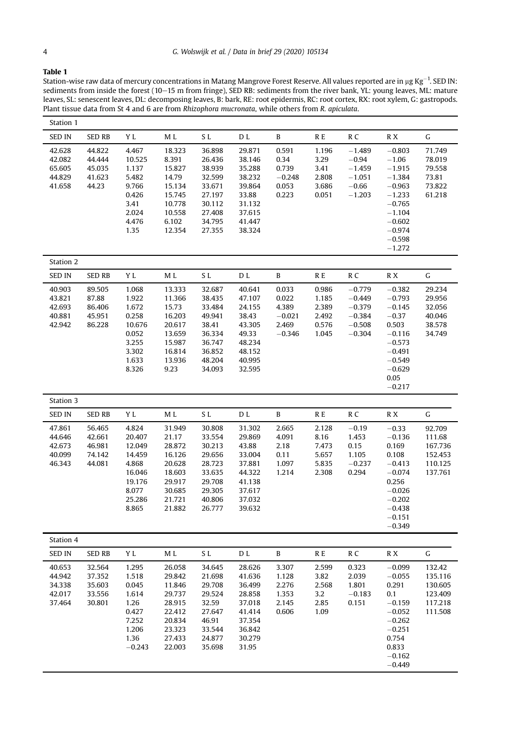### <span id="page-3-0"></span>Table 1

Station-wise raw data of mercury concentrations in Matang Mangrove Forest Reserve. All values reported are in µg Kg $^{-1}$ . SED IN: sediments from inside the forest (10–15 m from fringe), SED RB: sediments from the river bank, YL: young leaves, ML: mature leaves, SL: senescent leaves, DL: decomposing leaves, B: bark, RE: root epidermis, RC: root cortex, RX: root xylem, G: gastropods. Plant tissue data from St 4 and 6 are from Rhizophora mucronata, while others from R. apiculata.

| Station 1                                      |                                                |                                                                                              |                                                                                                  |                                                                                                  |                                                                                                 |                                                          |                                                    |                                                                      |                                                                                                                                             |                                                               |
|------------------------------------------------|------------------------------------------------|----------------------------------------------------------------------------------------------|--------------------------------------------------------------------------------------------------|--------------------------------------------------------------------------------------------------|-------------------------------------------------------------------------------------------------|----------------------------------------------------------|----------------------------------------------------|----------------------------------------------------------------------|---------------------------------------------------------------------------------------------------------------------------------------------|---------------------------------------------------------------|
| <b>SED IN</b>                                  | <b>SED RB</b>                                  | Y L                                                                                          | M L                                                                                              | SL                                                                                               | D L                                                                                             | B                                                        | R E                                                | R <sub>C</sub>                                                       | R X                                                                                                                                         | G                                                             |
| 42.628<br>42.082<br>65.605<br>44.829<br>41.658 | 44.822<br>44.444<br>45.035<br>41.623<br>44.23  | 4.467<br>10.525<br>1.137<br>5.482<br>9.766<br>0.426<br>3.41<br>2.024<br>4.476<br>1.35        | 18.323<br>8.391<br>15.827<br>14.79<br>15.134<br>15.745<br>10.778<br>10.558<br>6.102<br>12.354    | 36.898<br>26.436<br>38.939<br>32.599<br>33.671<br>27.197<br>30.112<br>27.408<br>34.795<br>27.355 | 29.871<br>38.146<br>35.288<br>38.232<br>39.864<br>33.88<br>31.132<br>37.615<br>41.447<br>38.324 | 0.591<br>0.34<br>0.739<br>$-0.248$<br>0.053<br>0.223     | 1.196<br>3.29<br>3.41<br>2.808<br>3.686<br>0.051   | $-1.489$<br>$-0.94$<br>$-1.459$<br>$-1.051$<br>$-0.66$<br>$-1.203$   | $-0.803$<br>$-1.06$<br>$-1.915$<br>$-1.384$<br>$-0.963$<br>$-1.233$<br>$-0.765$<br>$-1.104$<br>$-0.602$<br>$-0.974$<br>$-0.598$<br>$-1,272$ | 71.749<br>78.019<br>79.558<br>73.81<br>73.822<br>61.218       |
| Station 2                                      |                                                |                                                                                              |                                                                                                  |                                                                                                  |                                                                                                 |                                                          |                                                    |                                                                      |                                                                                                                                             |                                                               |
| <b>SED IN</b>                                  | <b>SED RB</b>                                  | Y L                                                                                          | M L                                                                                              | SL                                                                                               | D L                                                                                             | B                                                        | R E                                                | R <sub>C</sub>                                                       | R X                                                                                                                                         | G                                                             |
| 40.903<br>43.821<br>42.693<br>40.881<br>42.942 | 89.505<br>87.88<br>86.406<br>45.951<br>86.228  | 1.068<br>1.922<br>1.672<br>0.258<br>10.676<br>0.052<br>3.255<br>3.302<br>1.633<br>8.326      | 13.333<br>11.366<br>15.73<br>16.203<br>20.617<br>13.659<br>15.987<br>16.814<br>13.936<br>9.23    | 32.687<br>38.435<br>33.484<br>49.941<br>38.41<br>36.334<br>36.747<br>36.852<br>48.204<br>34.093  | 40.641<br>47.107<br>24.155<br>38.43<br>43.305<br>49.33<br>48.234<br>48.152<br>40.995<br>32.595  | 0.033<br>0.022<br>4.389<br>$-0.021$<br>2.469<br>$-0.346$ | 0.986<br>1.185<br>2.389<br>2.492<br>0.576<br>1.045 | $-0.779$<br>$-0.449$<br>$-0.379$<br>$-0.384$<br>$-0.508$<br>$-0.304$ | $-0.382$<br>$-0.793$<br>$-0.145$<br>$-0.37$<br>0.503<br>$-0.116$<br>$-0.573$<br>$-0.491$<br>$-0.549$<br>$-0.629$<br>0.05<br>$-0.217$        | 29.234<br>29.956<br>32.056<br>40.046<br>38.578<br>34.749      |
| Station 3                                      |                                                |                                                                                              |                                                                                                  |                                                                                                  |                                                                                                 |                                                          |                                                    |                                                                      |                                                                                                                                             |                                                               |
| <b>SED IN</b>                                  | <b>SED RB</b>                                  | Y L                                                                                          | M L                                                                                              | SL.                                                                                              | D L                                                                                             | B                                                        | R E                                                | R <sub>C</sub>                                                       | R X                                                                                                                                         | G                                                             |
| 47.861<br>44.646<br>42.673<br>40.099<br>46.343 | 56.465<br>42.661<br>46.981<br>74.142<br>44.081 | 4.824<br>20.407<br>12.049<br>14.459<br>4.868<br>16.046<br>19.176<br>8.077<br>25.286<br>8.865 | 31.949<br>21.17<br>28.872<br>16.126<br>20.628<br>18.603<br>29.917<br>30.685<br>21.721<br>21.882  | 30.808<br>33.554<br>30.213<br>29.656<br>28.723<br>33.635<br>29.708<br>29.305<br>40.806<br>26.777 | 31.302<br>29.869<br>43.88<br>33.004<br>37.881<br>44.322<br>41.138<br>37.617<br>37.032<br>39.632 | 2.665<br>4.091<br>2.18<br>0.11<br>1.097<br>1.214         | 2.128<br>8.16<br>7.473<br>5.657<br>5.835<br>2.308  | $-0.19$<br>1.453<br>0.15<br>1.105<br>$-0.237$<br>0.294               | $-0.33$<br>$-0.136$<br>0.169<br>0.108<br>$-0.413$<br>$-0.074$<br>0.256<br>$-0.026$<br>$-0.202$<br>$-0.438$<br>$-0.151$<br>$-0.349$          | 92.709<br>111.68<br>167.736<br>152.453<br>110.125<br>137.761  |
| Station 4                                      |                                                |                                                                                              |                                                                                                  |                                                                                                  |                                                                                                 |                                                          |                                                    |                                                                      |                                                                                                                                             |                                                               |
| <b>SED IN</b>                                  | <b>SED RB</b>                                  | Y L                                                                                          | M L                                                                                              | SL                                                                                               | D L                                                                                             | B                                                        | R E                                                | R <sub>C</sub>                                                       | R X                                                                                                                                         | G                                                             |
| 40.653<br>44.942<br>34.338<br>42.017<br>37.464 | 32.564<br>37.352<br>35.603<br>33.556<br>30.801 | 1.295<br>1.518<br>0.045<br>1.614<br>1.26<br>0.427<br>7.252<br>1.206<br>1.36<br>$-0.243$      | 26.058<br>29.842<br>11.846<br>29.737<br>28.915<br>22.412<br>20.834<br>23.323<br>27.433<br>22.003 | 34.645<br>21.698<br>29.708<br>29.524<br>32.59<br>27.647<br>46.91<br>33.544<br>24.877<br>35.698   | 28.626<br>41.636<br>36.499<br>28.858<br>37.018<br>41.414<br>37.354<br>36.842<br>30.279<br>31.95 | 3.307<br>1.128<br>2.276<br>1.353<br>2.145<br>0.606       | 2.599<br>3.82<br>2.568<br>3.2<br>2.85<br>1.09      | 0.323<br>2.039<br>1.801<br>$-0.183$<br>0.151                         | $-0.099$<br>$-0.055$<br>0.291<br>0.1<br>$-0.159$<br>$-0.052$<br>$-0.262$<br>$-0.251$<br>0.754<br>0.833<br>$-0.162$<br>$-0.449$              | 132.42<br>135.116<br>130.605<br>123.409<br>117.218<br>111.508 |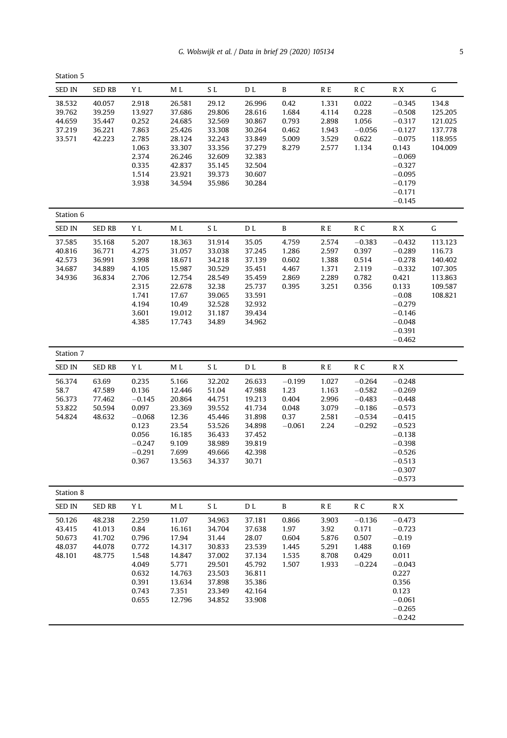| Station 5                                      |                                                |                                                                                                    |                                                                                                  |                                                                                                 |                                                                                                  |                                                        |                                                    |                                                                      |                                                                                                                                              |                                                                          |
|------------------------------------------------|------------------------------------------------|----------------------------------------------------------------------------------------------------|--------------------------------------------------------------------------------------------------|-------------------------------------------------------------------------------------------------|--------------------------------------------------------------------------------------------------|--------------------------------------------------------|----------------------------------------------------|----------------------------------------------------------------------|----------------------------------------------------------------------------------------------------------------------------------------------|--------------------------------------------------------------------------|
| <b>SED IN</b>                                  | <b>SED RB</b>                                  | ΥL                                                                                                 | M L                                                                                              | S L                                                                                             | D L                                                                                              | B                                                      | R E                                                | R <sub>C</sub>                                                       | R X                                                                                                                                          | G                                                                        |
| 38.532<br>39.762<br>44.659<br>37.219<br>33.571 | 40.057<br>39.259<br>35.447<br>36.221<br>42.223 | 2.918<br>13.927<br>0.252<br>7.863<br>2.785<br>1.063<br>2.374<br>0.335<br>1.514<br>3.938            | 26.581<br>37.686<br>24.685<br>25.426<br>28.124<br>33.307<br>26.246<br>42.837<br>23.921<br>34.594 | 29.12<br>29.806<br>32.569<br>33.308<br>32.243<br>33.356<br>32.609<br>35.145<br>39.373<br>35.986 | 26.996<br>28.616<br>30.867<br>30.264<br>33.849<br>37.279<br>32.383<br>32.504<br>30.607<br>30.284 | 0.42<br>1.684<br>0.793<br>0.462<br>5.009<br>8.279      | 1.331<br>4.114<br>2.898<br>1.943<br>3.529<br>2.577 | 0.022<br>0.228<br>1.056<br>$-0.056$<br>0.622<br>1.134                | $-0.345$<br>$-0.508$<br>$-0.317$<br>$-0.127$<br>$-0.075$<br>0.143<br>$-0.069$<br>$-0.327$<br>$-0.095$<br>$-0.179$<br>$-0.171$<br>$-0.145$    | 134.8<br>125.205<br>121.025<br>137.778<br>118.955<br>104.009             |
| Station 6                                      |                                                |                                                                                                    |                                                                                                  |                                                                                                 |                                                                                                  |                                                        |                                                    |                                                                      |                                                                                                                                              |                                                                          |
| <b>SED IN</b>                                  | <b>SED RB</b>                                  | Y L                                                                                                | M L                                                                                              | S L                                                                                             | D L                                                                                              | B                                                      | R E                                                | R C                                                                  | R X                                                                                                                                          | G                                                                        |
| 37.585<br>40.816<br>42.573<br>34.687<br>34.936 | 35.168<br>36.771<br>36.991<br>34.889<br>36.834 | 5.207<br>4.275<br>3.998<br>4.105<br>2.706<br>2.315<br>1.741<br>4.194<br>3.601<br>4.385             | 18.363<br>31.057<br>18.671<br>15.987<br>12.754<br>22.678<br>17.67<br>10.49<br>19.012<br>17.743   | 31.914<br>33.038<br>34.218<br>30.529<br>28.549<br>32.38<br>39.065<br>32.528<br>31.187<br>34.89  | 35.05<br>37.245<br>37.139<br>35.451<br>35.459<br>25.737<br>33.591<br>32.932<br>39.434<br>34.962  | 4.759<br>1.286<br>0.602<br>4.467<br>2.869<br>0.395     | 2.574<br>2.597<br>1.388<br>1.371<br>2.289<br>3.251 | $-0.383$<br>0.397<br>0.514<br>2.119<br>0.782<br>0.356                | $-0.432$<br>$-0.289$<br>$-0.278$<br>$-0.332$<br>0.421<br>0.133<br>$-0.08$<br>$-0.279$<br>$-0.146$<br>$-0.048$<br>$-0.391$<br>$-0.462$        | 113.123<br>116.73<br>140.402<br>107.305<br>113.863<br>109.587<br>108.821 |
| Station 7                                      |                                                |                                                                                                    |                                                                                                  |                                                                                                 |                                                                                                  |                                                        |                                                    |                                                                      |                                                                                                                                              |                                                                          |
| <b>SED IN</b>                                  | <b>SED RB</b>                                  | Y L                                                                                                | M L                                                                                              | S L                                                                                             | D L                                                                                              | B                                                      | R E                                                | R C                                                                  | R X                                                                                                                                          |                                                                          |
| 56.374<br>58.7<br>56.373<br>53.822<br>54.824   | 63.69<br>47.589<br>77,462<br>50.594<br>48.632  | 0.235<br>0.136<br>$-0.145$<br>0.097<br>$-0.068$<br>0.123<br>0.056<br>$-0.247$<br>$-0.291$<br>0.367 | 5.166<br>12.446<br>20.864<br>23.369<br>12.36<br>23.54<br>16.185<br>9.109<br>7.699<br>13.563      | 32.202<br>51.04<br>44.751<br>39.552<br>45.446<br>53.526<br>36.433<br>38.989<br>49.666<br>34.337 | 26.633<br>47.988<br>19.213<br>41.734<br>31.898<br>34.898<br>37.452<br>39.819<br>42.398<br>30.71  | $-0.199$<br>1.23<br>0.404<br>0.048<br>0.37<br>$-0.061$ | 1.027<br>1.163<br>2.996<br>3.079<br>2.581<br>2.24  | $-0.264$<br>$-0.582$<br>$-0.483$<br>$-0.186$<br>$-0.534$<br>$-0.292$ | $-0.248$<br>$-0.269$<br>$-0.448$<br>$-0.573$<br>$-0.415$<br>$-0.523$<br>$-0.138$<br>$-0.398$<br>$-0.526$<br>$-0.513$<br>$-0.307$<br>$-0.573$ |                                                                          |
| Station 8                                      |                                                |                                                                                                    |                                                                                                  |                                                                                                 |                                                                                                  |                                                        |                                                    |                                                                      |                                                                                                                                              |                                                                          |
| <b>SED IN</b>                                  | <b>SED RB</b>                                  | Y L                                                                                                | M L                                                                                              | S <sub>L</sub>                                                                                  | D L                                                                                              | B                                                      | R E                                                | R <sub>C</sub>                                                       | R X                                                                                                                                          |                                                                          |
| 50.126<br>43.415<br>50.673<br>48.037<br>48.101 | 48.238<br>41.013<br>41.702<br>44.078<br>48.775 | 2.259<br>0.84<br>0.796<br>0.772<br>1.548<br>4.049<br>0.632<br>0.391<br>0.743<br>0.655              | 11.07<br>16.161<br>17.94<br>14.317<br>14.847<br>5.771<br>14.763<br>13.634<br>7.351<br>12.796     | 34.963<br>34.704<br>31.44<br>30.833<br>37.002<br>29.501<br>23.503<br>37.898<br>23.349<br>34.852 | 37.181<br>37.638<br>28.07<br>23.539<br>37.134<br>45.792<br>36.811<br>35.386<br>42.164<br>33.908  | 0.866<br>1.97<br>0.604<br>1.445<br>1.535<br>1.507      | 3.903<br>3.92<br>5.876<br>5.291<br>8.708<br>1.933  | $-0.136$<br>0.171<br>0.507<br>1.488<br>0.429<br>$-0.224$             | $-0.473$<br>$-0.723$<br>$-0.19$<br>0.169<br>0.011<br>$-0.043$<br>0.227<br>0.356<br>0.123<br>$-0.061$<br>$-0.265$<br>$-0.242$                 |                                                                          |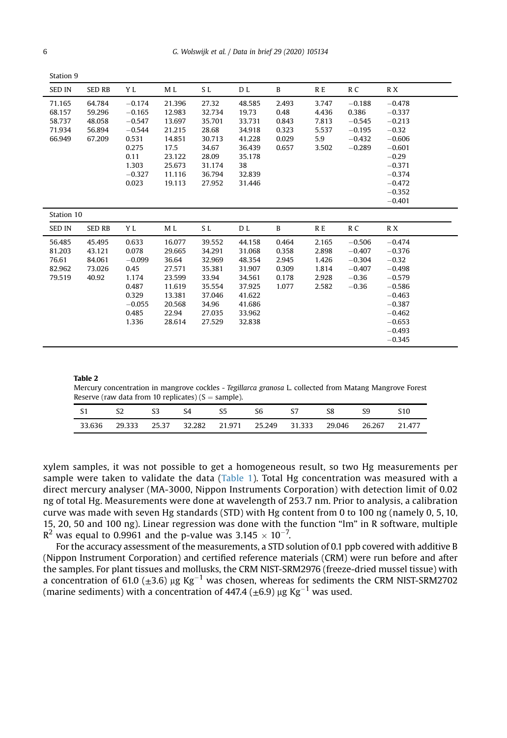Station 9

| <b>SED IN</b>                                  | SED RB                                         | Y L                                                                                                  | M L                                                                                            | S L                                                                                            | D L                                                                                              | B                                                  | R E                                                | R C                                                                | R X                                                                                                                                         |
|------------------------------------------------|------------------------------------------------|------------------------------------------------------------------------------------------------------|------------------------------------------------------------------------------------------------|------------------------------------------------------------------------------------------------|--------------------------------------------------------------------------------------------------|----------------------------------------------------|----------------------------------------------------|--------------------------------------------------------------------|---------------------------------------------------------------------------------------------------------------------------------------------|
| 71.165<br>68.157<br>58.737<br>71.934<br>66.949 | 64.784<br>59.296<br>48.058<br>56.894<br>67.209 | $-0.174$<br>$-0.165$<br>$-0.547$<br>$-0.544$<br>0.531<br>0.275<br>0.11<br>1.303<br>$-0.327$<br>0.023 | 21.396<br>12.983<br>13.697<br>21.215<br>14.851<br>17.5<br>23.122<br>25.673<br>11.116<br>19.113 | 27.32<br>32.734<br>35.701<br>28.68<br>30.713<br>34.67<br>28.09<br>31.174<br>36.794<br>27.952   | 48.585<br>19.73<br>33.731<br>34.918<br>41.228<br>36.439<br>35.178<br>38<br>32.839<br>31.446      | 2.493<br>0.48<br>0.843<br>0.323<br>0.029<br>0.657  | 3.747<br>4.436<br>7.813<br>5.537<br>5.9<br>3.502   | $-0.188$<br>0.386<br>$-0.545$<br>$-0.195$<br>$-0.432$<br>$-0.289$  | $-0.478$<br>$-0.337$<br>$-0.213$<br>$-0.32$<br>$-0.606$<br>$-0.601$<br>$-0.29$<br>$-0.371$<br>$-0.374$<br>$-0.472$<br>$-0.352$<br>$-0.401$  |
| Station 10                                     |                                                |                                                                                                      |                                                                                                |                                                                                                |                                                                                                  |                                                    |                                                    |                                                                    |                                                                                                                                             |
| <b>SED IN</b>                                  | SED RB                                         | Y L                                                                                                  | M L                                                                                            | S L                                                                                            | D L                                                                                              | B                                                  | R E                                                | R C                                                                | R X                                                                                                                                         |
| 56.485<br>81.203<br>76.61<br>82.962<br>79.519  | 45.495<br>43.121<br>84.061<br>73.026<br>40.92  | 0.633<br>0.078<br>$-0.099$<br>0.45<br>1.174<br>0.487<br>0.329<br>$-0.055$<br>0.485<br>1.336          | 16.077<br>29.665<br>36.64<br>27.571<br>23.599<br>11.619<br>13.381<br>20.568<br>22.94<br>28.614 | 39.552<br>34.291<br>32.969<br>35.381<br>33.94<br>35.554<br>37.046<br>34.96<br>27.035<br>27.529 | 44.158<br>31.068<br>48.354<br>31.907<br>34.561<br>37.925<br>41.622<br>41.686<br>33.962<br>32.838 | 0.464<br>0.358<br>2.945<br>0.309<br>0.178<br>1.077 | 2.165<br>2.898<br>1.426<br>1.814<br>2.928<br>2.582 | $-0.506$<br>$-0.407$<br>$-0.304$<br>$-0.407$<br>$-0.36$<br>$-0.36$ | $-0.474$<br>$-0.376$<br>$-0.32$<br>$-0.498$<br>$-0.579$<br>$-0.586$<br>$-0.463$<br>$-0.387$<br>$-0.462$<br>$-0.653$<br>$-0.493$<br>$-0.345$ |

#### <span id="page-5-0"></span>Table 2

Mercury concentration in mangrove cockles - Tegillarca granosa L. collected from Matang Mangrove Forest Reserve (raw data from 10 replicates)  $(S = sample)$ .

| - S1   |  | S4 | S5 | S6                                              | 57 | S8 | S9     | S10    |
|--------|--|----|----|-------------------------------------------------|----|----|--------|--------|
| 33.636 |  |    |    | 29.333 25.37 32.282 21.971 25.249 31.333 29.046 |    |    | 26.267 | 21.477 |

xylem samples, it was not possible to get a homogeneous result, so two Hg measurements per sample were taken to validate the data ([Table 1](#page-3-0)). Total Hg concentration was measured with a direct mercury analyser (MA-3000, Nippon Instruments Corporation) with detection limit of 0.02 ng of total Hg. Measurements were done at wavelength of 253.7 nm. Prior to analysis, a calibration curve was made with seven Hg standards (STD) with Hg content from 0 to 100 ng (namely 0, 5, 10, 15, 20, 50 and 100 ng). Linear regression was done with the function "lm" in R software, multiple  $R^2$  was equal to 0.9961 and the p-value was 3.145  $\times$  10<sup>-7</sup>.

For the accuracy assessment of the measurements, a STD solution of 0.1 ppb covered with additive B (Nippon Instrument Corporation) and certified reference materials (CRM) were run before and after the samples. For plant tissues and mollusks, the CRM NIST-SRM2976 (freeze-dried mussel tissue) with a concentration of 61.0 ( $\pm$ 3.6) µg Kg<sup>-1</sup> was chosen, whereas for sediments the CRM NIST-SRM2702 (marine sediments) with a concentration of 447.4 ( $\pm$ 6.9) µg Kg<sup>-1</sup> was used.